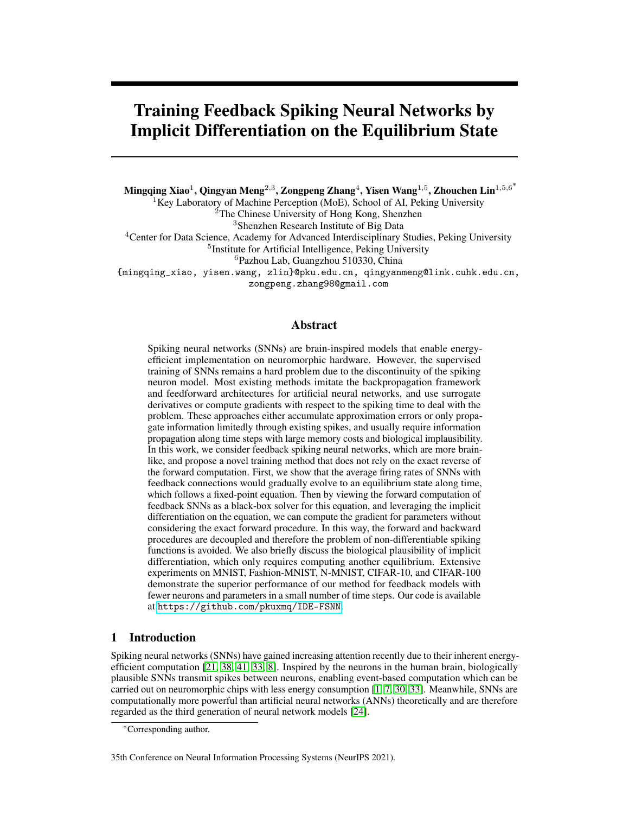# Training Feedback Spiking Neural Networks by Implicit Differentiation on the Equilibrium State

Mingqing Xiao $^1$ , Qingyan Meng $^{2,3}$ , Zongpeng Zhang $^4$ , Yisen Wang $^{1,5}$ , Zhouchen Lin $^{1,5,6^{\ast}}$ 

 ${}^{1}$ Key Laboratory of Machine Perception (MoE), School of AI, Peking University

<sup>2</sup>The Chinese University of Hong Kong, Shenzhen

<sup>3</sup>Shenzhen Research Institute of Big Data

<sup>4</sup>Center for Data Science, Academy for Advanced Interdisciplinary Studies, Peking University

<sup>5</sup>Institute for Artificial Intelligence, Peking University

<sup>6</sup>Pazhou Lab, Guangzhou 510330, China

{mingqing\_xiao, yisen.wang, zlin}@pku.edu.cn, qingyanmeng@link.cuhk.edu.cn,

zongpeng.zhang98@gmail.com

## Abstract

Spiking neural networks (SNNs) are brain-inspired models that enable energyefficient implementation on neuromorphic hardware. However, the supervised training of SNNs remains a hard problem due to the discontinuity of the spiking neuron model. Most existing methods imitate the backpropagation framework and feedforward architectures for artificial neural networks, and use surrogate derivatives or compute gradients with respect to the spiking time to deal with the problem. These approaches either accumulate approximation errors or only propagate information limitedly through existing spikes, and usually require information propagation along time steps with large memory costs and biological implausibility. In this work, we consider feedback spiking neural networks, which are more brainlike, and propose a novel training method that does not rely on the exact reverse of the forward computation. First, we show that the average firing rates of SNNs with feedback connections would gradually evolve to an equilibrium state along time, which follows a fixed-point equation. Then by viewing the forward computation of feedback SNNs as a black-box solver for this equation, and leveraging the implicit differentiation on the equation, we can compute the gradient for parameters without considering the exact forward procedure. In this way, the forward and backward procedures are decoupled and therefore the problem of non-differentiable spiking functions is avoided. We also briefly discuss the biological plausibility of implicit differentiation, which only requires computing another equilibrium. Extensive experiments on MNIST, Fashion-MNIST, N-MNIST, CIFAR-10, and CIFAR-100 demonstrate the superior performance of our method for feedback models with fewer neurons and parameters in a small number of time steps. Our code is available at <https://github.com/pkuxmq/IDE-FSNN>.

# 1 Introduction

Spiking neural networks (SNNs) have gained increasing attention recently due to their inherent energyefficient computation [\[21,](#page-11-0) [38,](#page-11-1) [41,](#page-12-0) [33,](#page-11-2) [8\]](#page-10-0). Inspired by the neurons in the human brain, biologically plausible SNNs transmit spikes between neurons, enabling event-based computation which can be carried out on neuromorphic chips with less energy consumption [\[1,](#page-10-1) [7,](#page-10-2) [30,](#page-11-3) [33\]](#page-11-2). Meanwhile, SNNs are computationally more powerful than artificial neural networks (ANNs) theoretically and are therefore regarded as the third generation of neural network models [\[24\]](#page-11-4).

<sup>∗</sup>Corresponding author.

<sup>35</sup>th Conference on Neural Information Processing Systems (NeurIPS 2021).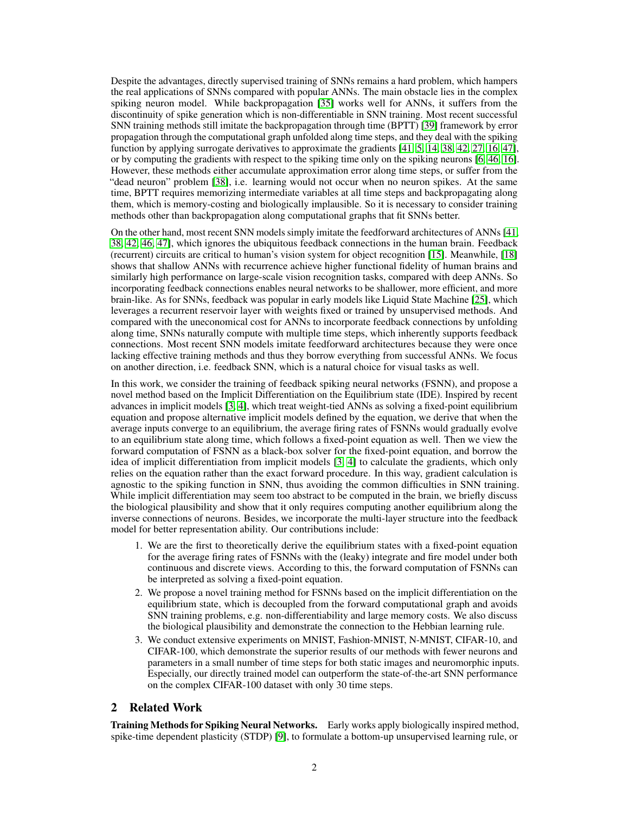Despite the advantages, directly supervised training of SNNs remains a hard problem, which hampers the real applications of SNNs compared with popular ANNs. The main obstacle lies in the complex spiking neuron model. While backpropagation [\[35\]](#page-11-5) works well for ANNs, it suffers from the discontinuity of spike generation which is non-differentiable in SNN training. Most recent successful SNN training methods still imitate the backpropagation through time (BPTT) [\[39\]](#page-11-6) framework by error propagation through the computational graph unfolded along time steps, and they deal with the spiking function by applying surrogate derivatives to approximate the gradients [\[41,](#page-12-0) [5,](#page-10-3) [14,](#page-10-4) [38,](#page-11-1) [42,](#page-12-1) [27,](#page-11-7) [16,](#page-10-5) [47\]](#page-12-2), or by computing the gradients with respect to the spiking time only on the spiking neurons [\[6,](#page-10-6) [46,](#page-12-3) [16\]](#page-10-5). However, these methods either accumulate approximation error along time steps, or suffer from the "dead neuron" problem [\[38\]](#page-11-1), i.e. learning would not occur when no neuron spikes. At the same time, BPTT requires memorizing intermediate variables at all time steps and backpropagating along them, which is memory-costing and biologically implausible. So it is necessary to consider training methods other than backpropagation along computational graphs that fit SNNs better.

On the other hand, most recent SNN models simply imitate the feedforward architectures of ANNs [\[41,](#page-12-0) [38,](#page-11-1) [42,](#page-12-1) [46,](#page-12-3) [47\]](#page-12-2), which ignores the ubiquitous feedback connections in the human brain. Feedback (recurrent) circuits are critical to human's vision system for object recognition [\[15\]](#page-10-7). Meanwhile, [\[18\]](#page-10-8) shows that shallow ANNs with recurrence achieve higher functional fidelity of human brains and similarly high performance on large-scale vision recognition tasks, compared with deep ANNs. So incorporating feedback connections enables neural networks to be shallower, more efficient, and more brain-like. As for SNNs, feedback was popular in early models like Liquid State Machine [\[25\]](#page-11-8), which leverages a recurrent reservoir layer with weights fixed or trained by unsupervised methods. And compared with the uneconomical cost for ANNs to incorporate feedback connections by unfolding along time, SNNs naturally compute with multiple time steps, which inherently supports feedback connections. Most recent SNN models imitate feedforward architectures because they were once lacking effective training methods and thus they borrow everything from successful ANNs. We focus on another direction, i.e. feedback SNN, which is a natural choice for visual tasks as well.

In this work, we consider the training of feedback spiking neural networks (FSNN), and propose a novel method based on the Implicit Differentiation on the Equilibrium state (IDE). Inspired by recent advances in implicit models [\[3,](#page-10-9) [4\]](#page-10-10), which treat weight-tied ANNs as solving a fixed-point equilibrium equation and propose alternative implicit models defined by the equation, we derive that when the average inputs converge to an equilibrium, the average firing rates of FSNNs would gradually evolve to an equilibrium state along time, which follows a fixed-point equation as well. Then we view the forward computation of FSNN as a black-box solver for the fixed-point equation, and borrow the idea of implicit differentiation from implicit models [\[3,](#page-10-9) [4\]](#page-10-10) to calculate the gradients, which only relies on the equation rather than the exact forward procedure. In this way, gradient calculation is agnostic to the spiking function in SNN, thus avoiding the common difficulties in SNN training. While implicit differentiation may seem too abstract to be computed in the brain, we briefly discuss the biological plausibility and show that it only requires computing another equilibrium along the inverse connections of neurons. Besides, we incorporate the multi-layer structure into the feedback model for better representation ability. Our contributions include:

- 1. We are the first to theoretically derive the equilibrium states with a fixed-point equation for the average firing rates of FSNNs with the (leaky) integrate and fire model under both continuous and discrete views. According to this, the forward computation of FSNNs can be interpreted as solving a fixed-point equation.
- 2. We propose a novel training method for FSNNs based on the implicit differentiation on the equilibrium state, which is decoupled from the forward computational graph and avoids SNN training problems, e.g. non-differentiability and large memory costs. We also discuss the biological plausibility and demonstrate the connection to the Hebbian learning rule.
- 3. We conduct extensive experiments on MNIST, Fashion-MNIST, N-MNIST, CIFAR-10, and CIFAR-100, which demonstrate the superior results of our methods with fewer neurons and parameters in a small number of time steps for both static images and neuromorphic inputs. Especially, our directly trained model can outperform the state-of-the-art SNN performance on the complex CIFAR-100 dataset with only 30 time steps.

## 2 Related Work

Training Methods for Spiking Neural Networks. Early works apply biologically inspired method, spike-time dependent plasticity (STDP) [\[9\]](#page-10-11), to formulate a bottom-up unsupervised learning rule, or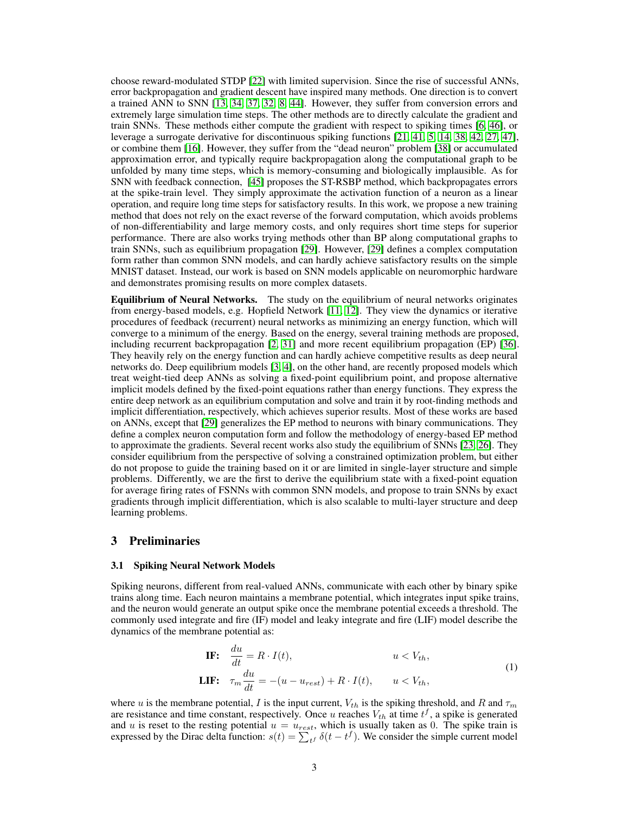choose reward-modulated STDP [\[22\]](#page-11-9) with limited supervision. Since the rise of successful ANNs, error backpropagation and gradient descent have inspired many methods. One direction is to convert a trained ANN to SNN [\[13,](#page-10-12) [34,](#page-11-10) [37,](#page-11-11) [32,](#page-11-12) [8,](#page-10-0) [44\]](#page-12-4). However, they suffer from conversion errors and extremely large simulation time steps. The other methods are to directly calculate the gradient and train SNNs. These methods either compute the gradient with respect to spiking times [\[6,](#page-10-6) [46\]](#page-12-3), or leverage a surrogate derivative for discontinuous spiking functions [\[21,](#page-11-0) [41,](#page-12-0) [5,](#page-10-3) [14,](#page-10-4) [38,](#page-11-1) [42,](#page-12-1) [27,](#page-11-7) [47\]](#page-12-2), or combine them [\[16\]](#page-10-5). However, they suffer from the "dead neuron" problem [\[38\]](#page-11-1) or accumulated approximation error, and typically require backpropagation along the computational graph to be unfolded by many time steps, which is memory-consuming and biologically implausible. As for SNN with feedback connection, [\[45\]](#page-12-5) proposes the ST-RSBP method, which backpropagates errors at the spike-train level. They simply approximate the activation function of a neuron as a linear operation, and require long time steps for satisfactory results. In this work, we propose a new training method that does not rely on the exact reverse of the forward computation, which avoids problems of non-differentiability and large memory costs, and only requires short time steps for superior performance. There are also works trying methods other than BP along computational graphs to train SNNs, such as equilibrium propagation [\[29\]](#page-11-13). However, [\[29\]](#page-11-13) defines a complex computation form rather than common SNN models, and can hardly achieve satisfactory results on the simple MNIST dataset. Instead, our work is based on SNN models applicable on neuromorphic hardware and demonstrates promising results on more complex datasets.

Equilibrium of Neural Networks. The study on the equilibrium of neural networks originates from energy-based models, e.g. Hopfield Network [\[11,](#page-10-13) [12\]](#page-10-14). They view the dynamics or iterative procedures of feedback (recurrent) neural networks as minimizing an energy function, which will converge to a minimum of the energy. Based on the energy, several training methods are proposed, including recurrent backpropagation [\[2,](#page-10-15) [31\]](#page-11-14) and more recent equilibrium propagation (EP) [\[36\]](#page-11-15). They heavily rely on the energy function and can hardly achieve competitive results as deep neural networks do. Deep equilibrium models [\[3,](#page-10-9) [4\]](#page-10-10), on the other hand, are recently proposed models which treat weight-tied deep ANNs as solving a fixed-point equilibrium point, and propose alternative implicit models defined by the fixed-point equations rather than energy functions. They express the entire deep network as an equilibrium computation and solve and train it by root-finding methods and implicit differentiation, respectively, which achieves superior results. Most of these works are based on ANNs, except that [\[29\]](#page-11-13) generalizes the EP method to neurons with binary communications. They define a complex neuron computation form and follow the methodology of energy-based EP method to approximate the gradients. Several recent works also study the equilibrium of SNNs [\[23,](#page-11-16) [26\]](#page-11-17). They consider equilibrium from the perspective of solving a constrained optimization problem, but either do not propose to guide the training based on it or are limited in single-layer structure and simple problems. Differently, we are the first to derive the equilibrium state with a fixed-point equation for average firing rates of FSNNs with common SNN models, and propose to train SNNs by exact gradients through implicit differentiation, which is also scalable to multi-layer structure and deep learning problems.

## 3 Preliminaries

#### 3.1 Spiking Neural Network Models

Spiking neurons, different from real-valued ANNs, communicate with each other by binary spike trains along time. Each neuron maintains a membrane potential, which integrates input spike trains, and the neuron would generate an output spike once the membrane potential exceeds a threshold. The commonly used integrate and fire (IF) model and leaky integrate and fire (LIF) model describe the dynamics of the membrane potential as:

**IF:** 
$$
\frac{du}{dt} = R \cdot I(t), \qquad u < V_{th},
$$
\n**LIF:** 
$$
\tau_m \frac{du}{dt} = -(u - u_{rest}) + R \cdot I(t), \qquad u < V_{th},
$$
\n(1)

where u is the membrane potential, I is the input current,  $V_{th}$  is the spiking threshold, and R and  $\tau_m$ are resistance and time constant, respectively. Once u reaches  $V_{th}$  at time  $t^f$ , a spike is generated and u is reset to the resting potential  $u = u_{rest}$ , which is usually taken as 0. The spike train is expressed by the Dirac delta function:  $s(t) = \sum_{t} \delta(t - t)$ . We consider the simple current model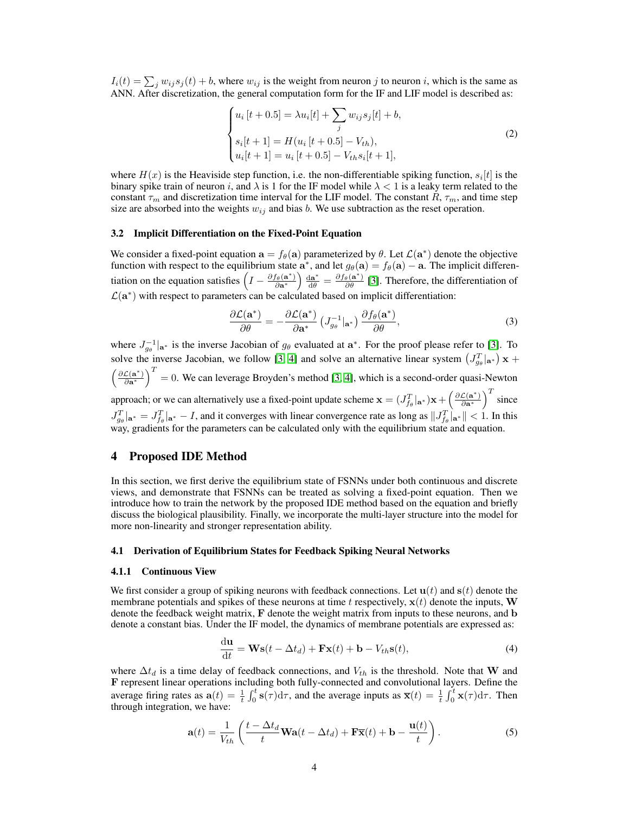$I_i(t) = \sum_j w_{ij} s_j(t) + b$ , where  $w_{ij}$  is the weight from neuron j to neuron i, which is the same as ANN. After discretization, the general computation form for the IF and LIF model is described as:

<span id="page-3-1"></span>
$$
\begin{cases}\n u_i [t + 0.5] = \lambda u_i [t] + \sum_j w_{ij} s_j [t] + b, \\
s_i [t + 1] = H(u_i [t + 0.5] - V_{th}), \\
u_i [t + 1] = u_i [t + 0.5] - V_{th} s_i [t + 1],\n\end{cases}
$$
\n(2)

where  $H(x)$  is the Heaviside step function, i.e. the non-differentiable spiking function,  $s_i[t]$  is the binary spike train of neuron i, and  $\lambda$  is 1 for the IF model while  $\lambda < 1$  is a leaky term related to the constant  $\tau_m$  and discretization time interval for the LIF model. The constant R,  $\tau_m$ , and time step size are absorbed into the weights  $w_{ij}$  and bias b. We use subtraction as the reset operation.

#### <span id="page-3-3"></span>3.2 Implicit Differentiation on the Fixed-Point Equation

We consider a fixed-point equation  $\mathbf{a} = f_{\theta}(\mathbf{a})$  parameterized by  $\theta$ . Let  $\mathcal{L}(\mathbf{a}^*)$  denote the objective function with respect to the equilibrium state  $\mathbf{a}^*$ , and let  $g_{\theta}(\mathbf{a}) = f_{\theta}(\mathbf{a}) - \mathbf{a}$ . The implicit differentiation on the equation satisfies  $\left(I - \frac{\partial f_{\theta}(\mathbf{a}^*)}{\partial \mathbf{a}^*}\right) \frac{d\mathbf{a}^*}{d\theta} = \frac{\partial f_{\theta}(\mathbf{a}^*)}{\partial \theta}$  [\[3\]](#page-10-9). Therefore, the differentiation of  $\mathcal{L}(\mathbf{a}^*)$  with respect to parameters can be calculated based on implicit differentiation:

$$
\frac{\partial \mathcal{L}(\mathbf{a}^*)}{\partial \theta} = -\frac{\partial \mathcal{L}(\mathbf{a}^*)}{\partial \mathbf{a}^*} \left( J_{g_{\theta}}^{-1} |_{\mathbf{a}^*} \right) \frac{\partial f_{\theta}(\mathbf{a}^*)}{\partial \theta},\tag{3}
$$

where  $J_{g_{\theta}}^{-1}|_{a^*}$  is the inverse Jacobian of  $g_{\theta}$  evaluated at  $a^*$ . For the proof please refer to [\[3\]](#page-10-9). To solve the inverse Jacobian, we follow [\[3,](#page-10-9) [4\]](#page-10-10) and solve an alternative linear system  $(J_{g_{\theta}}^T|_{a^*}) \mathbf{x}$  +  $\left(\frac{\partial \mathcal{L}(\mathbf{a}^*)}{\partial \mathbf{a}^*}\right)^T = 0$ . We can leverage Broyden's method [\[3,](#page-10-9) [4\]](#page-10-10), which is a second-order quasi-Newton approach; or we can alternatively use a fixed-point update scheme  $\mathbf{x} = (J_{f_{\theta}}^T | \mathbf{a}^*) \mathbf{x} + \left(\frac{\partial \mathcal{L}(\mathbf{a}^*)}{\partial \mathbf{a}^*}\right)^T$  since  $J_{g_{\theta}}^T|_{\mathbf{a}^*} = J_{f_{\theta}}^T|_{\mathbf{a}^*} - I$ , and it converges with linear convergence rate as long as  $||J_{f_{\theta}}^T|_{\mathbf{a}^*}|| < 1$ . In this way, gradients for the parameters can be calculated only with the equilibrium state and equation.

## <span id="page-3-4"></span>4 Proposed IDE Method

In this section, we first derive the equilibrium state of FSNNs under both continuous and discrete views, and demonstrate that FSNNs can be treated as solving a fixed-point equation. Then we introduce how to train the network by the proposed IDE method based on the equation and briefly discuss the biological plausibility. Finally, we incorporate the multi-layer structure into the model for more non-linearity and stronger representation ability.

#### <span id="page-3-2"></span>4.1 Derivation of Equilibrium States for Feedback Spiking Neural Networks

#### 4.1.1 Continuous View

We first consider a group of spiking neurons with feedback connections. Let  $\mathbf{u}(t)$  and  $\mathbf{s}(t)$  denote the membrane potentials and spikes of these neurons at time t respectively,  $x(t)$  denote the inputs, W denote the feedback weight matrix, F denote the weight matrix from inputs to these neurons, and b denote a constant bias. Under the IF model, the dynamics of membrane potentials are expressed as:

$$
\frac{\mathrm{d}\mathbf{u}}{\mathrm{d}t} = \mathbf{W}\mathbf{s}(t - \Delta t_d) + \mathbf{F}\mathbf{x}(t) + \mathbf{b} - V_{th}\mathbf{s}(t),\tag{4}
$$

where  $\Delta t_d$  is a time delay of feedback connections, and  $V_{th}$  is the threshold. Note that W and F represent linear operations including both fully-connected and convolutional layers. Define the average firing rates as  $\mathbf{a}(t) = \frac{1}{t} \int_0^t \mathbf{s}(\tau) d\tau$ , and the average inputs as  $\overline{\mathbf{x}}(t) = \frac{1}{t} \int_0^t \mathbf{x}(\tau) d\tau$ . Then through integration, we have:

<span id="page-3-0"></span>
$$
\mathbf{a}(t) = \frac{1}{V_{th}} \left( \frac{t - \Delta t_d}{t} \mathbf{W} \mathbf{a}(t - \Delta t_d) + \mathbf{F} \mathbf{\overline{x}}(t) + \mathbf{b} - \frac{\mathbf{u}(t)}{t} \right).
$$
 (5)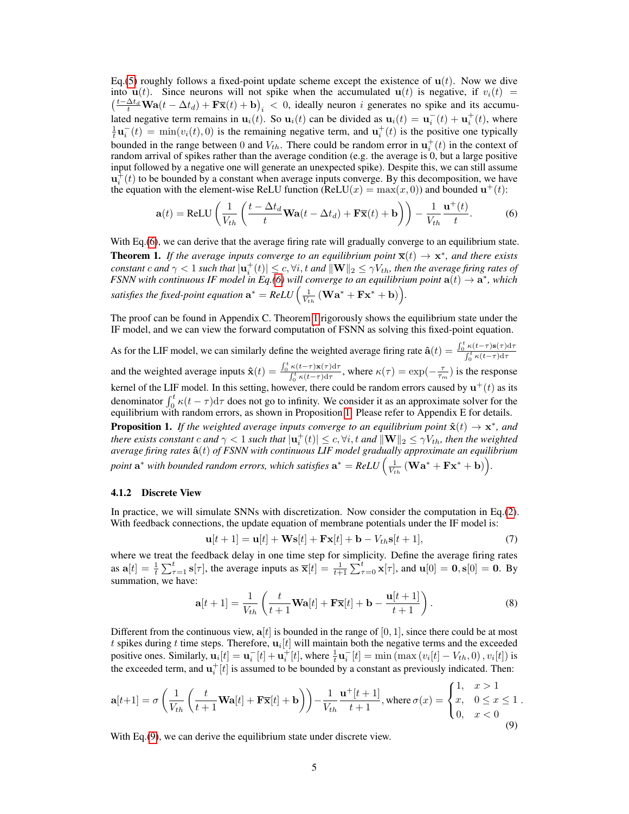Eq.[\(5\)](#page-3-0) roughly follows a fixed-point update scheme except the existence of  $u(t)$ . Now we dive into  $u(t)$ . Since neurons will not spike when the accumulated  $u(t)$  is negative, if  $v_i(t)$  =  $\left(\frac{t-\Delta t_d}{t}\mathbf{Wa}(t-\Delta t_d)+\mathbf{F}\mathbf{\overline{x}}(t)+\mathbf{b}\right)_i < 0$ , ideally neuron i generates no spike and its accumulated negative term remains in  $\mathbf{u}_i(t)$ . So  $\mathbf{u}_i(t)$  can be divided as  $\mathbf{u}_i(t) = \mathbf{u}_i^-(t) + \mathbf{u}_i^+(t)$ , where  $\frac{1}{t}\mathbf{u}_i^-(t) = \min(v_i(t), 0)$  is the remaining negative term, and  $\mathbf{u}_i^+(t)$  is the positive one typically bounded in the range between 0 and  $V_{th}$ . There could be random error in  $\mathbf{u}_i^+(t)$  in the context of random arrival of spikes rather than the average condition (e.g. the average is 0, but a large positive input followed by a negative one will generate an unexpected spike). Despite this, we can still assume  $\mathbf{u}_i^{\dagger}(t)$  to be bounded by a constant when average inputs converge. By this decomposition, we have the equation with the element-wise ReLU function (ReLU $(x) = \max(x, 0)$ ) and bounded  $\mathbf{u}^+(t)$ :

<span id="page-4-0"></span>
$$
\mathbf{a}(t) = \text{ReLU}\left(\frac{1}{V_{th}}\left(\frac{t - \Delta t_d}{t}\mathbf{Wa}(t - \Delta t_d) + \mathbf{F}\overline{\mathbf{x}}(t) + \mathbf{b}\right)\right) - \frac{1}{V_{th}}\frac{\mathbf{u}^+(t)}{t}.
$$
 (6)

<span id="page-4-1"></span>With Eq.[\(6\)](#page-4-0), we can derive that the average firing rate will gradually converge to an equilibrium state. **Theorem 1.** If the average inputs converge to an equilibrium point  $\overline{\mathbf{x}}(t) \to \mathbf{x}^*$ , and there exists  $constant\ c$  and  $\gamma < 1$  such that  $|\mathbf{u}_i^+(t)| \leq c, \forall i, t$  and  $\|\mathbf{W}\|_2 \leq \gamma V_{th}$ , then the average firing rates of *FSNN with continuous IF model in Eq.*[\(6\)](#page-4-0) will converge to an equilibrium point  $a(t) \rightarrow a^*$ , which satisfies the fixed-point equation  $\mathbf{a}^* = ReLU\Big(\frac{1}{V_{th}}\left(\mathbf{W}\mathbf{a}^* + \mathbf{F}\mathbf{x}^* + \mathbf{b}\right)\Big).$ 

The proof can be found in Appendix C. Theorem [1](#page-4-1) rigorously shows the equilibrium state under the IF model, and we can view the forward computation of FSNN as solving this fixed-point equation.

As for the LIF model, we can similarly define the weighted average firing rate  $\hat{\mathbf{a}}(t) = \frac{\int_0^t \kappa(t-\tau) \mathbf{s}(\tau) d\tau}{\int_0^t \kappa(t-\tau) d\tau}$  $\int_0^t \kappa(t-\tau) d\tau$ and the weighted average inputs  $\hat{\mathbf{x}}(t) = \frac{\int_0^t \kappa(t-\tau)\mathbf{x}(\tau) d\tau}{\int_0^t \kappa(t-\tau) d\tau}$  $\frac{\kappa(t-\tau)\mathbf{x}(\tau)d\tau}{\int_0^t \kappa(t-\tau)d\tau}$ , where  $\kappa(\tau) = \exp(-\frac{\tau}{\tau_m})$  is the response kernel of the LIF model. In this setting, however, there could be random errors caused by  $\mathbf{u}^+(t)$  as its denominator  $\int_0^t \kappa(t-\tau) d\tau$  does not go to infinity. We consider it as an approximate solver for the equilibrium with random errors, as shown in Proposition [1.](#page-4-2) Please refer to Appendix E for details.

<span id="page-4-2"></span>**Proposition 1.** If the weighted average inputs converge to an equilibrium point  $\hat{\mathbf{x}}(t) \to \mathbf{x}^*$ , and *there exists constant c and*  $\gamma < 1$  *such that*  $|\mathbf{u}_i^+(t)| \leq c, \forall i, t$  *and*  $\|\mathbf{W}\|_2 \leq \gamma V_{th}$ *, then the weighted average firing rates* ˆa(t) *of FSNN with continuous LIF model gradually approximate an equilibrium* point  $\mathbf{a}^*$  with bounded random errors, which satisfies  $\mathbf{a}^* = ReLU\Big(\frac{1}{V_{th}}\left(\mathbf{W}\mathbf{a}^* + \mathbf{F}\mathbf{x}^* + \mathbf{b}\right)\Big)$ .

#### 4.1.2 Discrete View

In practice, we will simulate SNNs with discretization. Now consider the computation in Eq.[\(2\)](#page-3-1). With feedback connections, the update equation of membrane potentials under the IF model is:

$$
\mathbf{u}[t+1] = \mathbf{u}[t] + \mathbf{W}\mathbf{s}[t] + \mathbf{F}\mathbf{x}[t] + \mathbf{b} - V_{th}\mathbf{s}[t+1],\tag{7}
$$

where we treat the feedback delay in one time step for simplicity. Define the average firing rates as  $a[t] = \frac{1}{t} \sum_{\tau=1}^{t} s[\tau]$ , the average inputs as  $\bar{x}[t] = \frac{1}{t+1} \sum_{\tau=0}^{t} x[\tau]$ , and  $u[0] = 0$ ,  $s[0] = 0$ . By summation, we have:

$$
\mathbf{a}[t+1] = \frac{1}{V_{th}} \left( \frac{t}{t+1} \mathbf{W} \mathbf{a}[t] + \mathbf{F} \overline{\mathbf{x}}[t] + \mathbf{b} - \frac{\mathbf{u}[t+1]}{t+1} \right).
$$
 (8)

<span id="page-4-3"></span>.

Different from the continuous view,  $a[t]$  is bounded in the range of [0, 1], since there could be at most t spikes during t time steps. Therefore,  $\mathbf{u}_i[t]$  will maintain both the negative terms and the exceeded positive ones. Similarly,  $\mathbf{u}_i[t] = \mathbf{u}_i^-[t] + \mathbf{u}_i^+[t]$ , where  $\frac{1}{t}\mathbf{u}_i^-[t] = \min(\max(v_i[t] - V_{th}, 0), v_i[t])$  is the exceeded term, and  $\mathbf{u}_i^+[t]$  is assumed to be bounded by a constant as previously indicated. Then:

$$
\mathbf{a}[t+1] = \sigma \left( \frac{1}{V_{th}} \left( \frac{t}{t+1} \mathbf{W} \mathbf{a}[t] + \mathbf{F} \overline{\mathbf{x}}[t] + \mathbf{b} \right) \right) - \frac{1}{V_{th}} \frac{\mathbf{u}^+[t+1]}{t+1}, \text{ where } \sigma(x) = \begin{cases} 1, & x > 1 \\ x, & 0 \le x \le 1 \\ 0, & x < 0 \end{cases} \tag{9}
$$

With Eq. [\(9\)](#page-4-3), we can derive the equilibrium state under discrete view.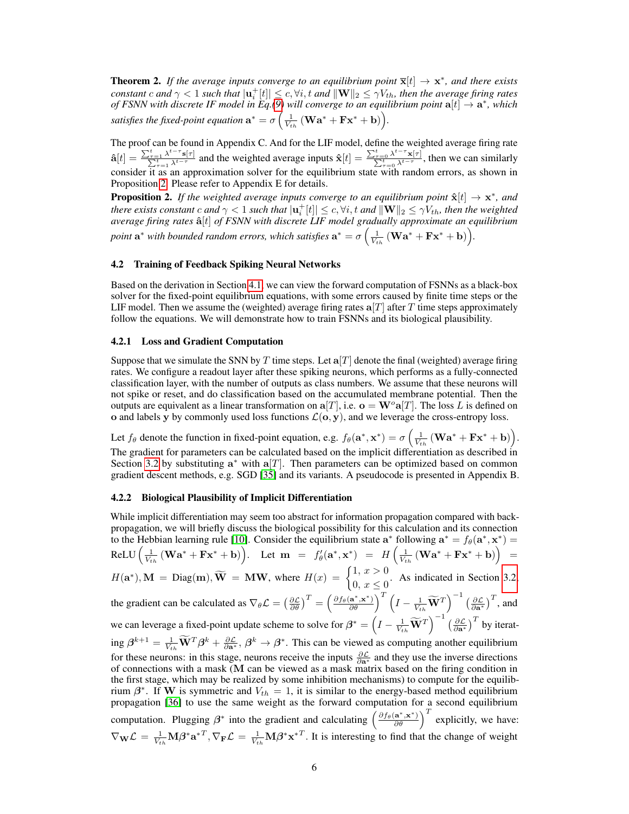**Theorem 2.** If the average inputs converge to an equilibrium point  $\overline{\mathbf{x}}[t] \to \mathbf{x}^*$ , and there exists  $constant\ c$  and  $\gamma < 1$  such that  $|{\bf u}_i^+[t]| \leq c, \forall i,t$  and  $\|{\bf W}\|_2 \leq \gamma V_{th}$ , then the average firing rates *of FSNN with discrete IF model in Eq.*[\(9\)](#page-4-3) will converge to an equilibrium point  $a[t] \rightarrow a^*$ , which satisfies the fixed-point equation  $\mathbf{a}^* = \sigma\left(\frac{1}{V_{th}}\left(\mathbf{W}\mathbf{a}^* + \mathbf{F}\mathbf{x}^* + \mathbf{b}\right)\right)$ .

The proof can be found in Appendix C. And for the LIF model, define the weighted average firing rate  $\hat{\mathbf{a}}[t] = \frac{\sum_{\tau=1}^{t} \lambda^{t-\tau} \mathbf{s}[\tau]}{\sum_{\tau=1}^{t} \lambda^{t-\tau}}$  and the weighted average inputs  $\hat{\mathbf{x}}[t] = \frac{\sum_{\tau=0}^{t} \lambda^{t-\tau} \mathbf{x}[\tau]}{\sum_{\tau=0}^{t} \lambda^{t-\tau}}$ , then we can similarly consider it as an approximation solver for the equilibrium state with random errors, as shown in Proposition [2.](#page-5-0) Please refer to Appendix E for details.

<span id="page-5-0"></span>**Proposition 2.** If the weighted average inputs converge to an equilibrium point  $\hat{\mathbf{x}}[t] \rightarrow \mathbf{x}^*$ , and *there exists constant c and*  $\gamma < 1$  *such that*  $|\mathbf{u}_i^+[t]| \leq c, \forall i, t$  *and*  $\|\mathbf{W}\|_2 \leq \gamma V_{th}$ *, then the weighted average firing rates* ˆa[t] *of FSNN with discrete LIF model gradually approximate an equilibrium* point  $\mathbf{a}^*$  with bounded random errors, which satisfies  $\mathbf{a}^* = \sigma\left(\frac{1}{V_{th}}\left(\mathbf{W}\mathbf{a}^* + \mathbf{F}\mathbf{x}^* + \mathbf{b}\right)\right)$ .

#### 4.2 Training of Feedback Spiking Neural Networks

Based on the derivation in Section [4.1,](#page-3-2) we can view the forward computation of FSNNs as a black-box solver for the fixed-point equilibrium equations, with some errors caused by finite time steps or the LIF model. Then we assume the (weighted) average firing rates  $a[T]$  after T time steps approximately follow the equations. We will demonstrate how to train FSNNs and its biological plausibility.

#### <span id="page-5-1"></span>4.2.1 Loss and Gradient Computation

Suppose that we simulate the SNN by T time steps. Let  $a[T]$  denote the final (weighted) average firing rates. We configure a readout layer after these spiking neurons, which performs as a fully-connected classification layer, with the number of outputs as class numbers. We assume that these neurons will not spike or reset, and do classification based on the accumulated membrane potential. Then the outputs are equivalent as a linear transformation on  $a[T]$ , i.e.  $o = W^o a[T]$ . The loss L is defined on o and labels y by commonly used loss functions  $\mathcal{L}(\mathbf{o}, \mathbf{y})$ , and we leverage the cross-entropy loss.

Let  $f_{\theta}$  denote the function in fixed-point equation, e.g.  $f_{\theta}(\mathbf{a}^*, \mathbf{x}^*) = \sigma \left(\frac{1}{V_{th}} (\mathbf{W}\mathbf{a}^* + \mathbf{F}\mathbf{x}^* + \mathbf{b})\right)$ . The gradient for parameters can be calculated based on the implicit differentiation as described in Section [3.2](#page-3-3) by substituting  $a^*$  with  $a[T]$ . Then parameters can be optimized based on common gradient descent methods, e.g. SGD [\[35\]](#page-11-5) and its variants. A pseudocode is presented in Appendix B.

### 4.2.2 Biological Plausibility of Implicit Differentiation

While implicit differentiation may seem too abstract for information propagation compared with backpropagation, we will briefly discuss the biological possibility for this calculation and its connection to the Hebbian learning rule [\[10\]](#page-10-16). Consider the equilibrium state  $\mathbf{a}^*$  following  $\mathbf{a}^* = f_\theta(\mathbf{a}^*, \mathbf{x}^*) =$  $\text{ReLU}\left(\frac{1}{V_{th}}\left(\mathbf{W}\mathbf{a}^* + \mathbf{F}\mathbf{x}^* + \mathbf{b}\right)\right).$  Let  $\mathbf{m} = f'_{\theta}(\mathbf{a}^*, \mathbf{x}^*) = H\left(\frac{1}{V_{th}}\left(\mathbf{W}\mathbf{a}^* + \mathbf{F}\mathbf{x}^* + \mathbf{b}\right)\right) =$  $H(\mathbf{a}^*), \mathbf{M} = \text{Diag}(\mathbf{m}), \widetilde{\mathbf{W}} = \mathbf{M}\mathbf{W}, \text{ where } H(x) = \begin{cases} 1, & x > 0 \\ 0, & x < 0 \end{cases}$  $\begin{cases} 0, & \text{if } x \leq 0 \\ 0, & \text{if } x \leq 0 \end{cases}$ . As indicated in Section [3.2,](#page-3-3) the gradient can be calculated as  $\nabla_{\theta} \mathcal{L} = \left(\frac{\partial \mathcal{L}}{\partial \theta}\right)^{T} = \left(\frac{\partial f_{\theta}(\mathbf{a^{*}}, \mathbf{x^{*}})}{\partial \theta}\right)^{T} \left(I - \frac{1}{V_{th}} \widetilde{\mathbf{W}}^{T}\right)^{-1} \left(\frac{\partial \mathcal{L}}{\partial \mathbf{a^{*}}}\right)^{T}$ , and we can leverage a fixed-point update scheme to solve for  $\beta^* = \left(I - \frac{1}{V_{th}}\widetilde{\mathbf{W}}^T\right)^{-1} \left(\frac{\partial \mathcal{L}}{\partial \mathbf{a}^*}\right)^T$  by iterating  $\beta^{k+1} = \frac{1}{V_{th}} \widetilde{W}^T \beta^k + \frac{\partial \mathcal{L}}{\partial \mathbf{a}^*}, \beta^k \to \beta^*$ . This can be viewed as computing another equilibrium for these neurons: in this stage, neurons receive the inputs  $\frac{\partial \mathcal{L}}{\partial \mathbf{a}^*}$  and they use the inverse directions of connections with a mask (M can be viewed as a mask matrix based on the firing condition in the first stage, which may be realized by some inhibition mechanisms) to compute for the equilibrium  $\beta^*$ . If W is symmetric and  $V_{th} = 1$ , it is similar to the energy-based method equilibrium propagation [\[36\]](#page-11-15) to use the same weight as the forward computation for a second equilibrium computation. Plugging  $\beta^*$  into the gradient and calculating  $\left(\frac{\partial f_\theta(\mathbf{a}^*, \mathbf{x}^*)}{\partial \theta}\right)^T$  explicitly, we have:  $\nabla_{\mathbf{W}} \mathcal{L} = \frac{1}{V_{th}} \mathbf{M} \boldsymbol{\beta}^* \mathbf{a}^{*T}, \nabla_{\mathbf{F}} \mathcal{L} = \frac{1}{V_{th}} \mathbf{M} \boldsymbol{\beta}^* \mathbf{x}^{*T}$ . It is interesting to find that the change of weight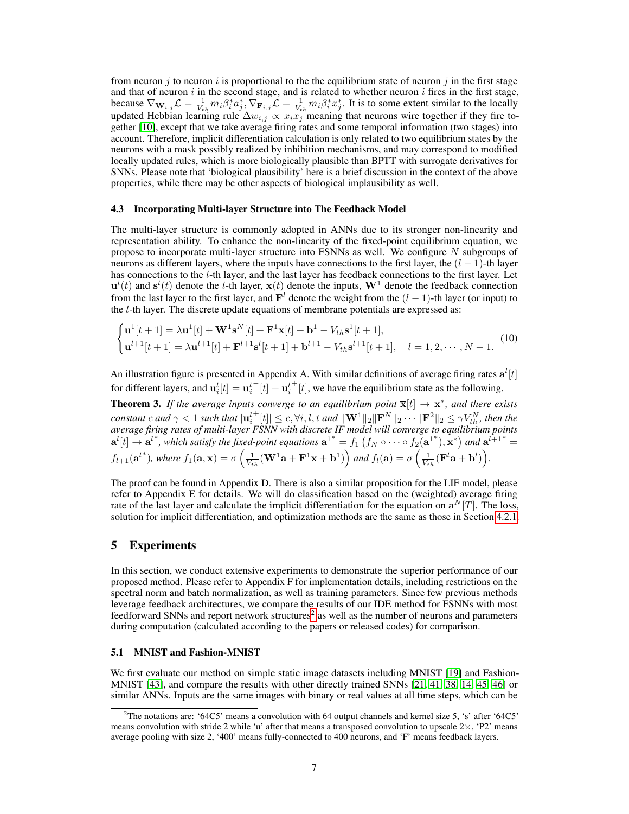from neuron j to neuron i is proportional to the the equilibrium state of neuron j in the first stage and that of neuron  $i$  in the second stage, and is related to whether neuron  $i$  fires in the first stage, because  $\nabla_{\mathbf{W}_{i,j}} \mathcal{L} = \frac{1}{V_{th}} m_i \beta_i^* a_j^* , \nabla_{\mathbf{F}_{i,j}} \mathcal{L} = \frac{1}{V_{th}} m_i \beta_i^* x_j^*$ . It is to some extent similar to the locally updated Hebbian learning rule  $\Delta w_{i,j} \propto x_i x_j$  meaning that neurons wire together if they fire together [\[10\]](#page-10-16), except that we take average firing rates and some temporal information (two stages) into account. Therefore, implicit differentiation calculation is only related to two equilibrium states by the neurons with a mask possibly realized by inhibition mechanisms, and may correspond to modified locally updated rules, which is more biologically plausible than BPTT with surrogate derivatives for SNNs. Please note that 'biological plausibility' here is a brief discussion in the context of the above properties, while there may be other aspects of biological implausibility as well.

#### 4.3 Incorporating Multi-layer Structure into The Feedback Model

The multi-layer structure is commonly adopted in ANNs due to its stronger non-linearity and representation ability. To enhance the non-linearity of the fixed-point equilibrium equation, we propose to incorporate multi-layer structure into FSNNs as well. We configure  $N$  subgroups of neurons as different layers, where the inputs have connections to the first layer, the  $(l - 1)$ -th layer has connections to the l-th layer, and the last layer has feedback connections to the first layer. Let  $\mathbf{u}^{l}(t)$  and  $\mathbf{s}^{l}(t)$  denote the *l*-th layer,  $\mathbf{x}(t)$  denote the inputs,  $\mathbf{W}^{1}$  denote the feedback connection from the last layer to the first layer, and  $\mathbf{F}^l$  denote the weight from the  $(l-1)$ -th layer (or input) to the l-th layer. The discrete update equations of membrane potentials are expressed as:

$$
\begin{cases} \mathbf{u}^{1}[t+1] = \lambda \mathbf{u}^{1}[t] + \mathbf{W}^{1} \mathbf{s}^{N}[t] + \mathbf{F}^{1} \mathbf{x}[t] + \mathbf{b}^{1} - V_{th} \mathbf{s}^{1}[t+1], \\ \mathbf{u}^{l+1}[t+1] = \lambda \mathbf{u}^{l+1}[t] + \mathbf{F}^{l+1} \mathbf{s}^{l}[t+1] + \mathbf{b}^{l+1} - V_{th} \mathbf{s}^{l+1}[t+1], \quad l = 1, 2, \cdots, N-1. \end{cases}
$$
(10)

An illustration figure is presented in Appendix A. With similar definitions of average firing rates  $\mathbf{a}^{l}[t]$ for different layers, and  $\mathbf{u}_i^l[t] = \mathbf{u}_i^l$  $^{-}[t] + \mathbf{u}_i^l$  $^{+}[t]$ , we have the equilibrium state as the following.

**Theorem 3.** If the average inputs converge to an equilibrium point  $\overline{\mathbf{x}}[t] \to \mathbf{x}^*$ , and there exists  $\emph{constant}$   $c$  and  $\gamma < 1$  such that  $|\mathbf{u}^l_i\>$  $\mathbf{F}[t] \leq c, \forall i, l, t \text{ and } ||\mathbf{W}^1||_2 ||\mathbf{F}^N||_2 \cdots ||\mathbf{F}^2||_2 \leq \gamma V_{th}^N$ , then the *average firing rates of multi-layer FSNN with discrete IF model will converge to equilibrium points*  ${\bf a}^l[t]\to{\bf a}^{l^*}$ , which satisfy the fixed-point equations  ${\bf a}^{1^*}=f_1$   $(f_N\circ\cdots\circ f_2({\bf a}^{1^*}),{\bf x}^*)$  and  ${\bf a}^{l+1^*}=$  $f_{l+1}(\mathbf{a}^{l*})$ , where  $f_1(\mathbf{a}, \mathbf{x}) = \sigma\left(\frac{1}{V_{th}}(\mathbf{W}^1\mathbf{a} + \mathbf{F}^1\mathbf{x} + \mathbf{b}^1)\right)$  and  $f_l(\mathbf{a}) = \sigma\left(\frac{1}{V_{th}}(\mathbf{F}^l\mathbf{a} + \mathbf{b}^l)\right)$ .

The proof can be found in Appendix D. There is also a similar proposition for the LIF model, please refer to Appendix E for details. We will do classification based on the (weighted) average firing rate of the last layer and calculate the implicit differentiation for the equation on  $\mathbf{a}^{N}[T]$ . The loss, solution for implicit differentiation, and optimization methods are the same as those in Section [4.2.1.](#page-5-1)

# <span id="page-6-1"></span>5 Experiments

In this section, we conduct extensive experiments to demonstrate the superior performance of our proposed method. Please refer to Appendix F for implementation details, including restrictions on the spectral norm and batch normalization, as well as training parameters. Since few previous methods leverage feedback architectures, we compare the results of our IDE method for FSNNs with most feedforward SNNs and report network structures<sup>[2](#page-6-0)</sup> as well as the number of neurons and parameters during computation (calculated according to the papers or released codes) for comparison.

## 5.1 MNIST and Fashion-MNIST

We first evaluate our method on simple static image datasets including MNIST [\[19\]](#page-11-18) and Fashion-MNIST [\[43\]](#page-12-6), and compare the results with other directly trained SNNs [\[21,](#page-11-0) [41,](#page-12-0) [38,](#page-11-1) [14,](#page-10-4) [45,](#page-12-5) [46\]](#page-12-3) or similar ANNs. Inputs are the same images with binary or real values at all time steps, which can be

<span id="page-6-0"></span><sup>&</sup>lt;sup>2</sup>The notations are: '64C5' means a convolution with 64 output channels and kernel size 5, 's' after '64C5' means convolution with stride 2 while 'u' after that means a transposed convolution to upscale  $2\times$ , 'P2' means average pooling with size 2, '400' means fully-connected to 400 neurons, and 'F' means feedback layers.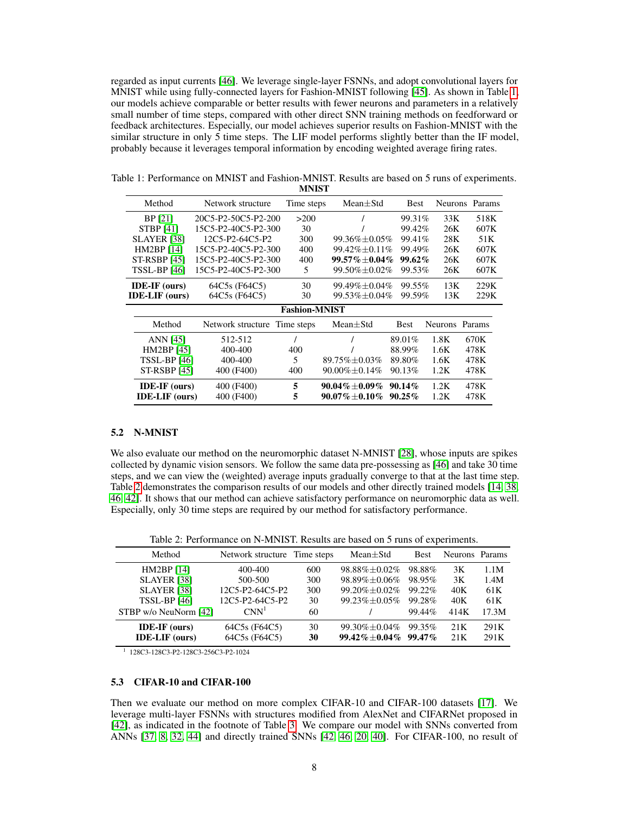regarded as input currents [\[46\]](#page-12-3). We leverage single-layer FSNNs, and adopt convolutional layers for MNIST while using fully-connected layers for Fashion-MNIST following [\[45\]](#page-12-5). As shown in Table [1,](#page-7-0) our models achieve comparable or better results with fewer neurons and parameters in a relatively small number of time steps, compared with other direct SNN training methods on feedforward or feedback architectures. Especially, our model achieves superior results on Fashion-MNIST with the similar structure in only  $\overline{5}$  time steps. The LIF model performs slightly better than the IF model, probably because it leverages temporal information by encoding weighted average firing rates.

|                       | Method                | Network structure            | Time steps | $Mean \pm Std$       | <b>Best</b> |                | Neurons Params |
|-----------------------|-----------------------|------------------------------|------------|----------------------|-------------|----------------|----------------|
|                       | BP [21]               | 20C5-P2-50C5-P2-200<br>>200  |            |                      | 99.31%      | 33K            | 518K           |
|                       | <b>STBP</b> [41]      | 15C5-P2-40C5-P2-300          | 30         |                      | 99.42%      | 26K            | 607K           |
|                       | <b>SLAYER [38]</b>    | 12C5-P2-64C5-P2              | 300        | 99.36% $\pm 0.05\%$  | 99.41\%     | 28K            | 51K            |
|                       | HM2BP [14]            | 15C5-P2-40C5-P2-300          | 400        | 99.42% ± 0.11%       | 99.49%      | 26K            | 607K           |
|                       | <b>ST-RSBP [45]</b>   | 15C5-P2-40C5-P2-300          | 400        | $99.57\%\pm0.04\%$   | $99.62\%$   | 26K            | 607K           |
| <b>TSSL-BP [46]</b>   |                       | 15C5-P2-40C5-P2-300          | 5          | 99.50% ± 0.02%       | 99.53%      | 26K            | 607K           |
| <b>IDE-IF</b> (ours)  |                       | 64C5s (F64C5)                | 30         | 99.49% ± 0.04%       | 99.55%      | 13K            | 229K           |
| <b>IDE-LIF</b> (ours) |                       | 64C5s (F64C5)                | 30         | 99.53% ±0.04%        | 99.59%      | 13K            | 229K           |
| <b>Fashion-MNIST</b>  |                       |                              |            |                      |             |                |                |
|                       | Method                | Network structure Time steps |            | $Mean \pm Std$       | <b>Best</b> | Neurons Params |                |
|                       | ANN [45]              | 512-512                      |            |                      | 89.01%      | 1.8K           | 670K           |
|                       | HM2BP [45]            | 400-400                      | 400        |                      | 88.99%      | 1.6K           | 478K           |
|                       | TSSL-BP [46]          | 400-400                      | 5          | 89.75% ±0.03%        | 89.80%      | 1.6K           | 478K           |
|                       | <b>ST-RSBP [45]</b>   | 400 (F400)                   | 400        | $90.00\% \pm 0.14\%$ | 90.13%      | 1.2K           | 478K           |
|                       | <b>IDE-IF</b> (ours)  | 400 (F400)                   | 5          | $90.04\%\pm0.09\%$   | $90.14\%$   | 1.2K           | 478K           |
|                       | <b>IDE-LIF</b> (ours) | 400 (F400)                   | 5          | $90.07\%\pm0.10\%$   | $90.25\%$   | 1.2K           | 478K           |

<span id="page-7-0"></span>Table 1: Performance on MNIST and Fashion-MNIST. Results are based on 5 runs of experiments. **MNIST** 

#### 5.2 N-MNIST

We also evaluate our method on the neuromorphic dataset N-MNIST [\[28\]](#page-11-19), whose inputs are spikes collected by dynamic vision sensors. We follow the same data pre-possessing as [\[46\]](#page-12-3) and take 30 time steps, and we can view the (weighted) average inputs gradually converge to that at the last time step. Table [2](#page-7-1) demonstrates the comparison results of our models and other directly trained models [\[14,](#page-10-4) [38,](#page-11-1) [46,](#page-12-3) [42\]](#page-12-1). It shows that our method can achieve satisfactory performance on neuromorphic data as well. Especially, only 30 time steps are required by our method for satisfactory performance.

Table 2: Performance on N-MNIST. Results are based on 5 runs of experiments.

<span id="page-7-1"></span>

| Method                | Network structure Time steps |     | $Mean \pm Std$       | <b>Best</b> | Neurons Params |       |
|-----------------------|------------------------------|-----|----------------------|-------------|----------------|-------|
| HM2BP [14]            | 400-400                      | 600 | $98.88\% \pm 0.02\%$ | 98.88%      | 3K             | 1.1M  |
| <b>SLAYER</b> [38]    | 500-500                      | 300 | 98.89%±0.06%         | 98.95%      | 3K             | 1.4M  |
| <b>SLAYER</b> [38]    | 12C5-P2-64C5-P2              | 300 | $99.20\% + 0.02\%$   | $99.22\%$   | 40K            | 61K   |
| <b>TSSL-BP</b> [46]   | 12C5-P2-64C5-P2              | 30  | $99.23\% + 0.05\%$   | 99.28%      | 40K            | 61K   |
| STBP w/o NeuNorm [42] | $\text{CNN}^1$               | 60  |                      | 99.44%      | 414K           | 17.3M |
| <b>IDE-IF</b> (ours)  | 64C5s (F64C5)                | 30  | $99.30\% + 0.04\%$   | 99.35%      | 21K            | 291K  |
| <b>IDE-LIF</b> (ours) | 64C5s (F64C5)                | 30  | $99.42\% + 0.04\%$   | $99.47\%$   | 21K            | 291K  |

1 128C3-128C3-P2-128C3-256C3-P2-1024

## 5.3 CIFAR-10 and CIFAR-100

Then we evaluate our method on more complex CIFAR-10 and CIFAR-100 datasets [\[17\]](#page-10-17). We leverage multi-layer FSNNs with structures modified from AlexNet and CIFARNet proposed in [\[42\]](#page-12-1), as indicated in the footnote of Table [3.](#page-8-0) We compare our model with SNNs converted from ANNs [\[37,](#page-11-11) [8,](#page-10-0) [32,](#page-11-12) [44\]](#page-12-4) and directly trained SNNs [\[42,](#page-12-1) [46,](#page-12-3) [20,](#page-11-20) [40\]](#page-12-7). For CIFAR-100, no result of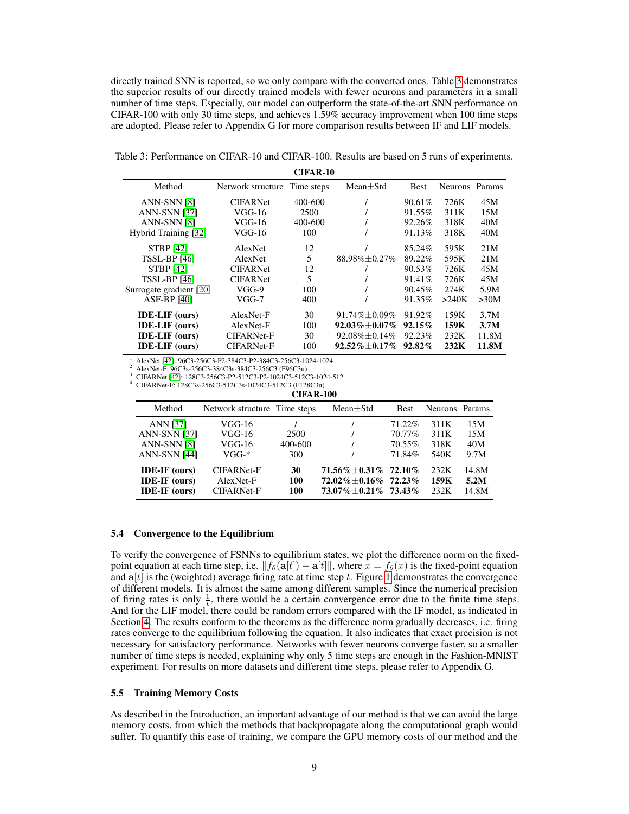directly trained SNN is reported, so we only compare with the converted ones. Table [3](#page-8-0) demonstrates the superior results of our directly trained models with fewer neurons and parameters in a small number of time steps. Especially, our model can outperform the state-of-the-art SNN performance on CIFAR-100 with only 30 time steps, and achieves 1.59% accuracy improvement when 100 time steps are adopted. Please refer to Appendix G for more comparison results between IF and LIF models.

<span id="page-8-0"></span>Table 3: Performance on CIFAR-10 and CIFAR-100. Results are based on 5 runs of experiments.

CIFAR-10

| Method                  | Network structure Time steps |         | $Mean + Std$         | <b>Best</b> | Neurons Params |       |
|-------------------------|------------------------------|---------|----------------------|-------------|----------------|-------|
| ANN-SNN [8]             | <b>CIFARNet</b>              | 400-600 |                      | $90.61\%$   | 726K           | 45M   |
| <b>ANN-SNN [37]</b>     | $VGG-16$                     | 2500    |                      | 91.55%      | 311K           | 15M   |
| ANN-SNN [8]             | $VGG-16$                     | 400-600 |                      | 92.26%      | 318K           | 40M   |
| Hybrid Training [32]    | $VGG-16$                     | 100     |                      | 91.13%      | 318K           | 40M   |
| <b>STBP</b> [42]        | AlexNet                      | 12      |                      | 85.24%      | 595K           | 21M   |
| <b>TSSL-BP</b> [46]     | <b>AlexNet</b>               | 5       | 88.98% ± 0.27%       | 89.22%      | 595K           | 21M   |
| <b>STBP</b> [42]        | <b>CIFARNet</b>              | 12      |                      | $90.53\%$   | 726K           | 45M   |
| <b>TSSL-BP</b> [46]     | <b>CIFARNet</b>              | 5       |                      | 91.41%      | 726K           | 45M   |
| Surrogate gradient [20] | $VGG-9$                      | 100     |                      | $90.45\%$   | 274K           | 5.9M  |
| $ASF-BP[40]$            | VGG-7                        | 400     |                      | 91.35%      | >240K          | >30M  |
| <b>IDE-LIF</b> (ours)   | AlexNet-F                    | 30      | $91.74\% \pm 0.09\%$ | 91.92%      | 159K           | 3.7M  |
| <b>IDE-LIF</b> (ours)   | AlexNet-F                    | 100     | $92.03\% + 0.07\%$   | $92.15\%$   | 159K           | 3.7M  |
| <b>IDE-LIF</b> (ours)   | <b>CIFARNet-F</b>            | 30      | $92.08\% \pm 0.14\%$ | 92.23%      | 232K           | 11.8M |
| <b>IDE-LIF</b> (ours)   | <b>CIFARNet-F</b>            | 100     | $92.52\%\pm0.17\%$   | $92.82\%$   | 232K           | 11.8M |

<sup>1</sup> AlexNet [\[42\]](#page-12-1): 96C3-256C3-P2-384C3-P2-384C3-256C3-1024-1024

<sup>2</sup> AlexNet-F: 96C3s-256C3-384C3s-384C3-256C3 (F96C3u)

<sup>3</sup> CIFARNet [\[42\]](#page-12-1): 128C3-256C3-P2-512C3-P2-1024C3-512C3-1024-512

<sup>4</sup> CIFARNet-F: 128C3s-256C3-512C3s-1024C3-512C3 (F128C3u) CIFAR-100

| Method                                                                       | Network structure Time steps                        |                        | $Mean \pm Std$                                                                        | <b>Best</b>                             | Neurons Params               |                           |
|------------------------------------------------------------------------------|-----------------------------------------------------|------------------------|---------------------------------------------------------------------------------------|-----------------------------------------|------------------------------|---------------------------|
| <b>ANN</b> [37]<br><b>ANN-SNN [37]</b><br>ANN-SNN [8]<br><b>ANN-SNN [44]</b> | VGG-16<br>$VGG-16$<br>$VGG-16$<br>$VGG-*$           | 2500<br>400-600<br>300 |                                                                                       | $71.22\%$<br>70.77%<br>70.55%<br>71.84% | 311K<br>311K<br>318K<br>540K | 15M<br>15M<br>40M<br>9.7M |
| <b>IDE-IF</b> (ours)<br><b>IDE-IF</b> (ours)<br>$IDE-IF$ (ours)              | <b>CIFARNet-F</b><br>AlexNet-F<br><b>CIFARNet-F</b> | 30<br>100<br>100       | $71.56\% + 0.31\%$ 72.10%<br>$72.02\% \pm 0.16\%$ 72.23%<br>$73.07\% + 0.21\%$ 73.43% |                                         | 232K<br>159K<br>232K         | 14.8M<br>5.2M<br>14.8M    |

#### 5.4 Convergence to the Equilibrium

To verify the convergence of FSNNs to equilibrium states, we plot the difference norm on the fixedpoint equation at each time step, i.e.  $||f_{\theta}(\mathbf{a}[t]) - \mathbf{a}[t]||$ , where  $x = f_{\theta}(x)$  is the fixed-point equation and  $a[t]$  is the (weighted) average firing rate at time step t. Figure [1](#page-9-0) demonstrates the convergence of different models. It is almost the same among different samples. Since the numerical precision of firing rates is only  $\frac{1}{t}$ , there would be a certain convergence error due to the finite time steps. And for the LIF model, there could be random errors compared with the IF model, as indicated in Section [4.](#page-3-4) The results conform to the theorems as the difference norm gradually decreases, i.e. firing rates converge to the equilibrium following the equation. It also indicates that exact precision is not necessary for satisfactory performance. Networks with fewer neurons converge faster, so a smaller number of time steps is needed, explaining why only 5 time steps are enough in the Fashion-MNIST experiment. For results on more datasets and different time steps, please refer to Appendix G.

## 5.5 Training Memory Costs

As described in the Introduction, an important advantage of our method is that we can avoid the large memory costs, from which the methods that backpropagate along the computational graph would suffer. To quantify this ease of training, we compare the GPU memory costs of our method and the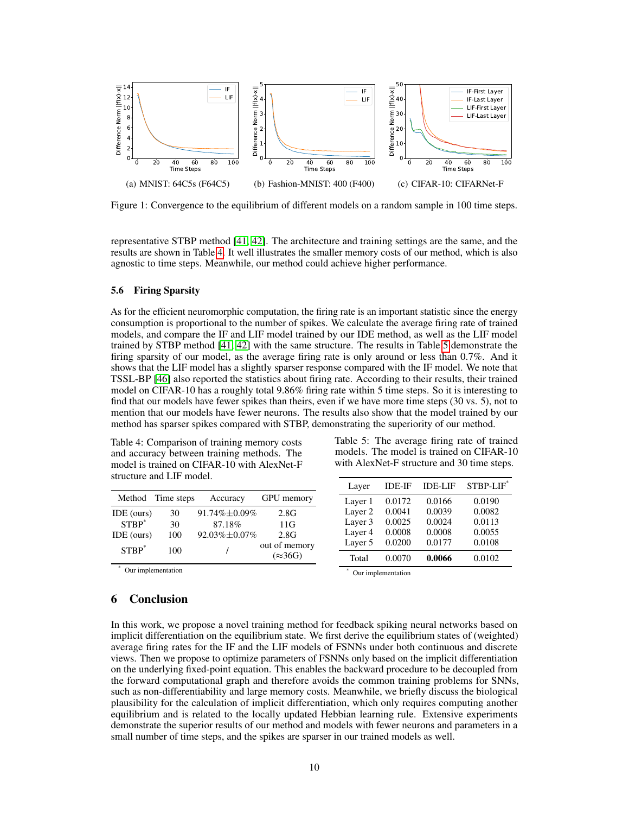<span id="page-9-0"></span>

Figure 1: Convergence to the equilibrium of different models on a random sample in 100 time steps.

representative STBP method [\[41,](#page-12-0) [42\]](#page-12-1). The architecture and training settings are the same, and the results are shown in Table [4.](#page-9-1) It well illustrates the smaller memory costs of our method, which is also agnostic to time steps. Meanwhile, our method could achieve higher performance.

#### 5.6 Firing Sparsity

As for the efficient neuromorphic computation, the firing rate is an important statistic since the energy consumption is proportional to the number of spikes. We calculate the average firing rate of trained models, and compare the IF and LIF model trained by our IDE method, as well as the LIF model trained by STBP method [\[41,](#page-12-0) [42\]](#page-12-1) with the same structure. The results in Table [5](#page-9-2) demonstrate the firing sparsity of our model, as the average firing rate is only around or less than 0.7%. And it shows that the LIF model has a slightly sparser response compared with the IF model. We note that TSSL-BP [\[46\]](#page-12-3) also reported the statistics about firing rate. According to their results, their trained model on CIFAR-10 has a roughly total 9.86% firing rate within 5 time steps. So it is interesting to find that our models have fewer spikes than theirs, even if we have more time steps (30 vs. 5), not to mention that our models have fewer neurons. The results also show that the model trained by our method has sparser spikes compared with STBP, demonstrating the superiority of our method.

Table 4: Comparison of training memory costs and accuracy between training methods. The model is trained on CIFAR-10 with AlexNet-F structure and LIF model.

<span id="page-9-2"></span>Table 5: The average firing rate of trained models. The model is trained on CIFAR-10 with AlexNet-F structure and 30 time steps.

<span id="page-9-1"></span>

|                                                                                                                 |            |                      |                 | Laver   | <b>IDE-IF</b> | <b>IDE-LIF</b> | STBP-LIF* |
|-----------------------------------------------------------------------------------------------------------------|------------|----------------------|-----------------|---------|---------------|----------------|-----------|
| Method                                                                                                          | Time steps | Accuracy             | GPU memory      | Layer 1 | 0.0172        | 0.0166         | 0.0190    |
| IDE (ours)                                                                                                      | 30         | $91.74\% \pm 0.09\%$ | 2.8G            | Layer 2 | 0.0041        | 0.0039         | 0.0082    |
| $STBP^*$                                                                                                        | 30         | 87.18%               | 11G             | Layer 3 | 0.0025        | 0.0024         | 0.0113    |
| IDE (ours)                                                                                                      | 100        | $92.03\% \pm 0.07\%$ | 2.8G            | Layer 4 | 0.0008        | 0.0008         | 0.0055    |
| $STBP^*$                                                                                                        | 100        |                      | out of memory   | Layer 5 | 0.0200        | 0.0177         | 0.0108    |
|                                                                                                                 |            |                      | $(\approx 36G)$ | Total   | 0.0070        | 0.0066         | 0.0102    |
| the contract of the contract of the contract of the contract of the contract of the contract of the contract of |            |                      |                 |         |               |                |           |

Our implementation

Our implementation

# 6 Conclusion

In this work, we propose a novel training method for feedback spiking neural networks based on implicit differentiation on the equilibrium state. We first derive the equilibrium states of (weighted) average firing rates for the IF and the LIF models of FSNNs under both continuous and discrete views. Then we propose to optimize parameters of FSNNs only based on the implicit differentiation on the underlying fixed-point equation. This enables the backward procedure to be decoupled from the forward computational graph and therefore avoids the common training problems for SNNs, such as non-differentiability and large memory costs. Meanwhile, we briefly discuss the biological plausibility for the calculation of implicit differentiation, which only requires computing another equilibrium and is related to the locally updated Hebbian learning rule. Extensive experiments demonstrate the superior results of our method and models with fewer neurons and parameters in a small number of time steps, and the spikes are sparser in our trained models as well.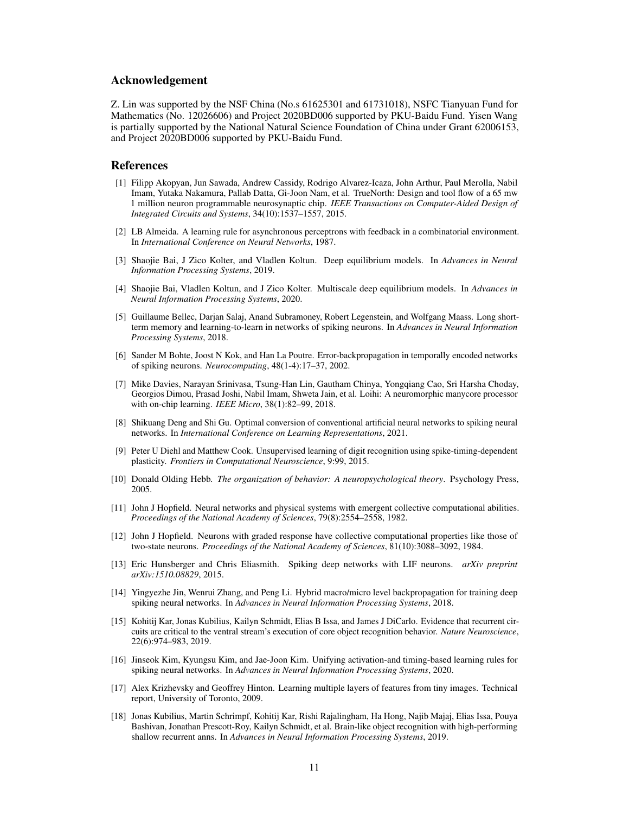# Acknowledgement

Z. Lin was supported by the NSF China (No.s 61625301 and 61731018), NSFC Tianyuan Fund for Mathematics (No. 12026606) and Project 2020BD006 supported by PKU-Baidu Fund. Yisen Wang is partially supported by the National Natural Science Foundation of China under Grant 62006153, and Project 2020BD006 supported by PKU-Baidu Fund.

# References

- <span id="page-10-1"></span>[1] Filipp Akopyan, Jun Sawada, Andrew Cassidy, Rodrigo Alvarez-Icaza, John Arthur, Paul Merolla, Nabil Imam, Yutaka Nakamura, Pallab Datta, Gi-Joon Nam, et al. TrueNorth: Design and tool flow of a 65 mw 1 million neuron programmable neurosynaptic chip. *IEEE Transactions on Computer-Aided Design of Integrated Circuits and Systems*, 34(10):1537–1557, 2015.
- <span id="page-10-15"></span>[2] LB Almeida. A learning rule for asynchronous perceptrons with feedback in a combinatorial environment. In *International Conference on Neural Networks*, 1987.
- <span id="page-10-9"></span>[3] Shaojie Bai, J Zico Kolter, and Vladlen Koltun. Deep equilibrium models. In *Advances in Neural Information Processing Systems*, 2019.
- <span id="page-10-10"></span>[4] Shaojie Bai, Vladlen Koltun, and J Zico Kolter. Multiscale deep equilibrium models. In *Advances in Neural Information Processing Systems*, 2020.
- <span id="page-10-3"></span>[5] Guillaume Bellec, Darjan Salaj, Anand Subramoney, Robert Legenstein, and Wolfgang Maass. Long shortterm memory and learning-to-learn in networks of spiking neurons. In *Advances in Neural Information Processing Systems*, 2018.
- <span id="page-10-6"></span>[6] Sander M Bohte, Joost N Kok, and Han La Poutre. Error-backpropagation in temporally encoded networks of spiking neurons. *Neurocomputing*, 48(1-4):17–37, 2002.
- <span id="page-10-2"></span>[7] Mike Davies, Narayan Srinivasa, Tsung-Han Lin, Gautham Chinya, Yongqiang Cao, Sri Harsha Choday, Georgios Dimou, Prasad Joshi, Nabil Imam, Shweta Jain, et al. Loihi: A neuromorphic manycore processor with on-chip learning. *IEEE Micro*, 38(1):82–99, 2018.
- <span id="page-10-0"></span>[8] Shikuang Deng and Shi Gu. Optimal conversion of conventional artificial neural networks to spiking neural networks. In *International Conference on Learning Representations*, 2021.
- <span id="page-10-11"></span>[9] Peter U Diehl and Matthew Cook. Unsupervised learning of digit recognition using spike-timing-dependent plasticity. *Frontiers in Computational Neuroscience*, 9:99, 2015.
- <span id="page-10-16"></span>[10] Donald Olding Hebb. *The organization of behavior: A neuropsychological theory*. Psychology Press, 2005.
- <span id="page-10-13"></span>[11] John J Hopfield. Neural networks and physical systems with emergent collective computational abilities. *Proceedings of the National Academy of Sciences*, 79(8):2554–2558, 1982.
- <span id="page-10-14"></span>[12] John J Hopfield. Neurons with graded response have collective computational properties like those of two-state neurons. *Proceedings of the National Academy of Sciences*, 81(10):3088–3092, 1984.
- <span id="page-10-12"></span>[13] Eric Hunsberger and Chris Eliasmith. Spiking deep networks with LIF neurons. *arXiv preprint arXiv:1510.08829*, 2015.
- <span id="page-10-4"></span>[14] Yingyezhe Jin, Wenrui Zhang, and Peng Li. Hybrid macro/micro level backpropagation for training deep spiking neural networks. In *Advances in Neural Information Processing Systems*, 2018.
- <span id="page-10-7"></span>[15] Kohitij Kar, Jonas Kubilius, Kailyn Schmidt, Elias B Issa, and James J DiCarlo. Evidence that recurrent circuits are critical to the ventral stream's execution of core object recognition behavior. *Nature Neuroscience*, 22(6):974–983, 2019.
- <span id="page-10-5"></span>[16] Jinseok Kim, Kyungsu Kim, and Jae-Joon Kim. Unifying activation-and timing-based learning rules for spiking neural networks. In *Advances in Neural Information Processing Systems*, 2020.
- <span id="page-10-17"></span>[17] Alex Krizhevsky and Geoffrey Hinton. Learning multiple layers of features from tiny images. Technical report, University of Toronto, 2009.
- <span id="page-10-8"></span>[18] Jonas Kubilius, Martin Schrimpf, Kohitij Kar, Rishi Rajalingham, Ha Hong, Najib Majaj, Elias Issa, Pouya Bashivan, Jonathan Prescott-Roy, Kailyn Schmidt, et al. Brain-like object recognition with high-performing shallow recurrent anns. In *Advances in Neural Information Processing Systems*, 2019.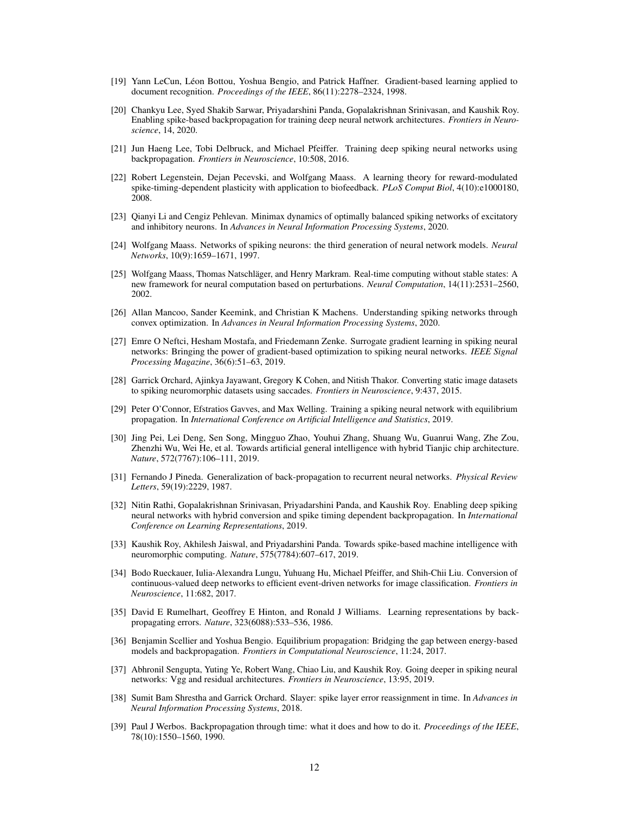- <span id="page-11-18"></span>[19] Yann LeCun, Léon Bottou, Yoshua Bengio, and Patrick Haffner. Gradient-based learning applied to document recognition. *Proceedings of the IEEE*, 86(11):2278–2324, 1998.
- <span id="page-11-20"></span>[20] Chankyu Lee, Syed Shakib Sarwar, Priyadarshini Panda, Gopalakrishnan Srinivasan, and Kaushik Roy. Enabling spike-based backpropagation for training deep neural network architectures. *Frontiers in Neuroscience*, 14, 2020.
- <span id="page-11-0"></span>[21] Jun Haeng Lee, Tobi Delbruck, and Michael Pfeiffer. Training deep spiking neural networks using backpropagation. *Frontiers in Neuroscience*, 10:508, 2016.
- <span id="page-11-9"></span>[22] Robert Legenstein, Dejan Pecevski, and Wolfgang Maass. A learning theory for reward-modulated spike-timing-dependent plasticity with application to biofeedback. *PLoS Comput Biol*, 4(10):e1000180, 2008.
- <span id="page-11-16"></span>[23] Qianyi Li and Cengiz Pehlevan. Minimax dynamics of optimally balanced spiking networks of excitatory and inhibitory neurons. In *Advances in Neural Information Processing Systems*, 2020.
- <span id="page-11-4"></span>[24] Wolfgang Maass. Networks of spiking neurons: the third generation of neural network models. *Neural Networks*, 10(9):1659–1671, 1997.
- <span id="page-11-8"></span>[25] Wolfgang Maass, Thomas Natschläger, and Henry Markram. Real-time computing without stable states: A new framework for neural computation based on perturbations. *Neural Computation*, 14(11):2531–2560, 2002.
- <span id="page-11-17"></span>[26] Allan Mancoo, Sander Keemink, and Christian K Machens. Understanding spiking networks through convex optimization. In *Advances in Neural Information Processing Systems*, 2020.
- <span id="page-11-7"></span>[27] Emre O Neftci, Hesham Mostafa, and Friedemann Zenke. Surrogate gradient learning in spiking neural networks: Bringing the power of gradient-based optimization to spiking neural networks. *IEEE Signal Processing Magazine*, 36(6):51–63, 2019.
- <span id="page-11-19"></span>[28] Garrick Orchard, Ajinkya Jayawant, Gregory K Cohen, and Nitish Thakor. Converting static image datasets to spiking neuromorphic datasets using saccades. *Frontiers in Neuroscience*, 9:437, 2015.
- <span id="page-11-13"></span>[29] Peter O'Connor, Efstratios Gavves, and Max Welling. Training a spiking neural network with equilibrium propagation. In *International Conference on Artificial Intelligence and Statistics*, 2019.
- <span id="page-11-3"></span>[30] Jing Pei, Lei Deng, Sen Song, Mingguo Zhao, Youhui Zhang, Shuang Wu, Guanrui Wang, Zhe Zou, Zhenzhi Wu, Wei He, et al. Towards artificial general intelligence with hybrid Tianjic chip architecture. *Nature*, 572(7767):106–111, 2019.
- <span id="page-11-14"></span>[31] Fernando J Pineda. Generalization of back-propagation to recurrent neural networks. *Physical Review Letters*, 59(19):2229, 1987.
- <span id="page-11-12"></span>[32] Nitin Rathi, Gopalakrishnan Srinivasan, Priyadarshini Panda, and Kaushik Roy. Enabling deep spiking neural networks with hybrid conversion and spike timing dependent backpropagation. In *International Conference on Learning Representations*, 2019.
- <span id="page-11-2"></span>[33] Kaushik Roy, Akhilesh Jaiswal, and Priyadarshini Panda. Towards spike-based machine intelligence with neuromorphic computing. *Nature*, 575(7784):607–617, 2019.
- <span id="page-11-10"></span>[34] Bodo Rueckauer, Iulia-Alexandra Lungu, Yuhuang Hu, Michael Pfeiffer, and Shih-Chii Liu. Conversion of continuous-valued deep networks to efficient event-driven networks for image classification. *Frontiers in Neuroscience*, 11:682, 2017.
- <span id="page-11-5"></span>[35] David E Rumelhart, Geoffrey E Hinton, and Ronald J Williams. Learning representations by backpropagating errors. *Nature*, 323(6088):533–536, 1986.
- <span id="page-11-15"></span>[36] Benjamin Scellier and Yoshua Bengio. Equilibrium propagation: Bridging the gap between energy-based models and backpropagation. *Frontiers in Computational Neuroscience*, 11:24, 2017.
- <span id="page-11-11"></span>[37] Abhronil Sengupta, Yuting Ye, Robert Wang, Chiao Liu, and Kaushik Roy. Going deeper in spiking neural networks: Vgg and residual architectures. *Frontiers in Neuroscience*, 13:95, 2019.
- <span id="page-11-1"></span>[38] Sumit Bam Shrestha and Garrick Orchard. Slayer: spike layer error reassignment in time. In *Advances in Neural Information Processing Systems*, 2018.
- <span id="page-11-6"></span>[39] Paul J Werbos. Backpropagation through time: what it does and how to do it. *Proceedings of the IEEE*, 78(10):1550–1560, 1990.